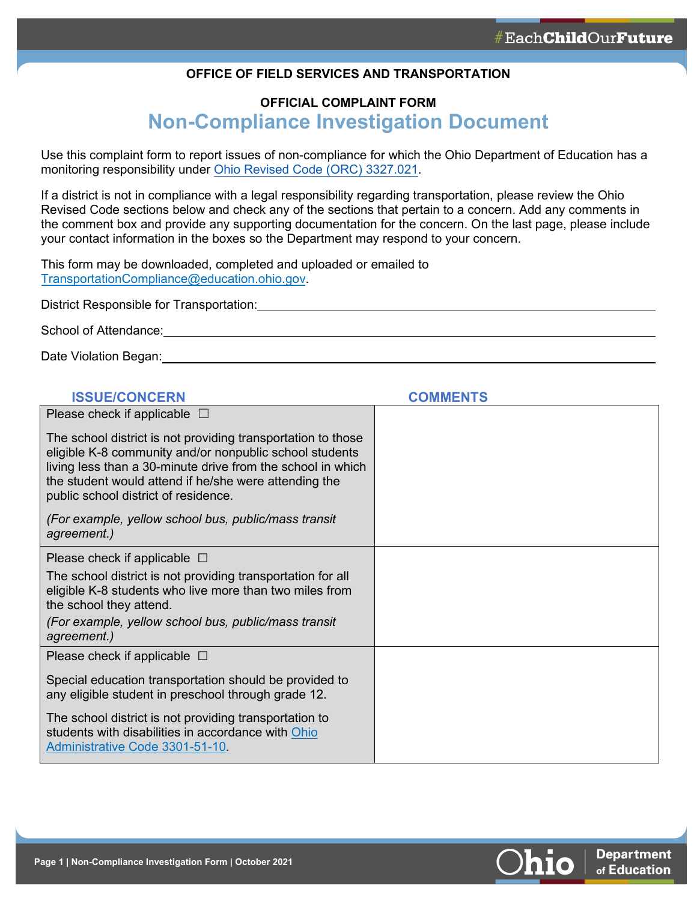#### **OFFICE OF FIELD SERVICES AND TRANSPORTATION**

# **OFFICIAL COMPLAINT FORM Non-Compliance Investigation Document**

Use this complaint form to report issues of non-compliance for which the Ohio Department of Education has a monitoring responsibility under [Ohio Revised Code \(ORC\) 3327.021.](https://codes.ohio.gov/ohio-revised-code/section-3327.021)

If a district is not in compliance with a legal responsibility regarding transportation, please review the Ohio Revised Code sections below and check any of the sections that pertain to a concern. Add any comments in the comment box and provide any supporting documentation for the concern. On the last page, please include your contact information in the boxes so the Department may respond to your concern.

This form may be downloaded, completed and uploaded or emailed to [TransportationCompliance@education.ohio.gov.](mailto:TransportationCompliance@education.ohio.gov)

District Responsible for Transportation:

School of Attendance: <u>contained a series and a series of the series of the series of the series of the series of</u>

Date Violation Began: Web and Contract the Contract of the Contract of the Contract of the Contract of the Contract of the Contract of the Contract of the Contract of the Contract of the Contract of the Contract of the Con

| <b>ISSUE/CONCERN</b>                                                                                                                                                                                                                                                                    | <b>COMMENTS</b> |
|-----------------------------------------------------------------------------------------------------------------------------------------------------------------------------------------------------------------------------------------------------------------------------------------|-----------------|
| Please check if applicable $\Box$                                                                                                                                                                                                                                                       |                 |
| The school district is not providing transportation to those<br>eligible K-8 community and/or nonpublic school students<br>living less than a 30-minute drive from the school in which<br>the student would attend if he/she were attending the<br>public school district of residence. |                 |
| (For example, yellow school bus, public/mass transit<br>agreement.)                                                                                                                                                                                                                     |                 |
| Please check if applicable $\Box$                                                                                                                                                                                                                                                       |                 |
| The school district is not providing transportation for all<br>eligible K-8 students who live more than two miles from<br>the school they attend.                                                                                                                                       |                 |
| (For example, yellow school bus, public/mass transit<br>agreement.)                                                                                                                                                                                                                     |                 |
| Please check if applicable $\Box$                                                                                                                                                                                                                                                       |                 |
| Special education transportation should be provided to<br>any eligible student in preschool through grade 12.                                                                                                                                                                           |                 |
| The school district is not providing transportation to<br>students with disabilities in accordance with Ohio<br>Administrative Code 3301-51-10.                                                                                                                                         |                 |

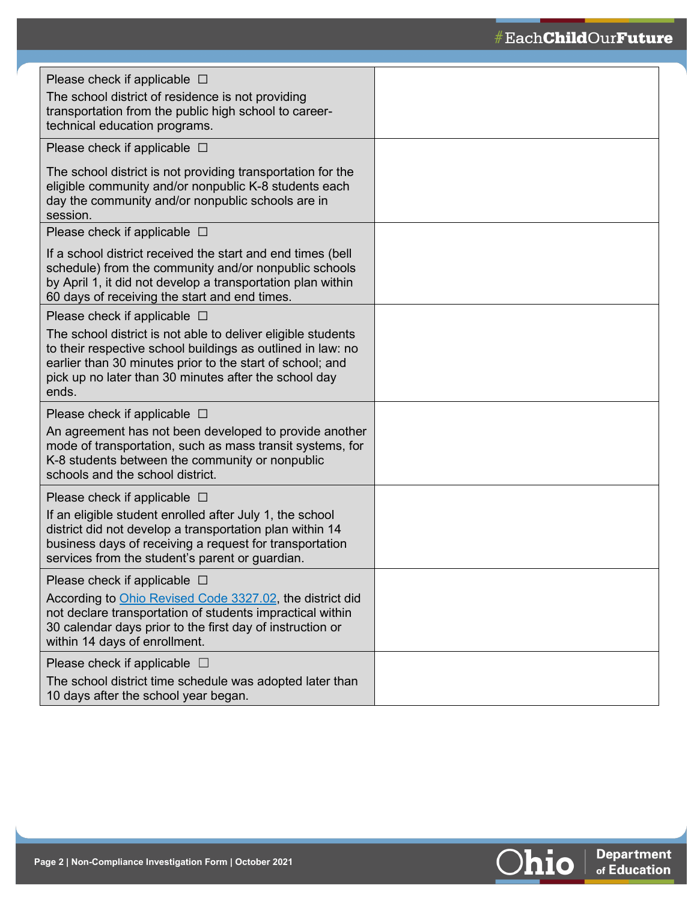# $\# \texttt{EachChildOurFuture}$

| Please check if applicable $\Box$<br>The school district of residence is not providing<br>transportation from the public high school to career-<br>technical education programs.                                                                           |  |
|------------------------------------------------------------------------------------------------------------------------------------------------------------------------------------------------------------------------------------------------------------|--|
| Please check if applicable $\Box$                                                                                                                                                                                                                          |  |
| The school district is not providing transportation for the<br>eligible community and/or nonpublic K-8 students each<br>day the community and/or nonpublic schools are in<br>session.                                                                      |  |
| Please check if applicable $\Box$                                                                                                                                                                                                                          |  |
| If a school district received the start and end times (bell<br>schedule) from the community and/or nonpublic schools<br>by April 1, it did not develop a transportation plan within<br>60 days of receiving the start and end times.                       |  |
| Please check if applicable $\Box$                                                                                                                                                                                                                          |  |
| The school district is not able to deliver eligible students<br>to their respective school buildings as outlined in law: no<br>earlier than 30 minutes prior to the start of school; and<br>pick up no later than 30 minutes after the school day<br>ends. |  |
| Please check if applicable $\Box$                                                                                                                                                                                                                          |  |
| An agreement has not been developed to provide another<br>mode of transportation, such as mass transit systems, for<br>K-8 students between the community or nonpublic<br>schools and the school district.                                                 |  |
| Please check if applicable $\Box$                                                                                                                                                                                                                          |  |
| If an eligible student enrolled after July 1, the school<br>district did not develop a transportation plan within 14<br>business days of receiving a request for transportation<br>services from the student's parent or guardian.                         |  |
| Please check if applicable $\Box$<br>According to Ohio Revised Code 3327.02, the district did<br>not declare transportation of students impractical within<br>30 calendar days prior to the first day of instruction or<br>within 14 days of enrollment.   |  |
| Please check if applicable $\Box$                                                                                                                                                                                                                          |  |
| The school district time schedule was adopted later than<br>10 days after the school year began.                                                                                                                                                           |  |

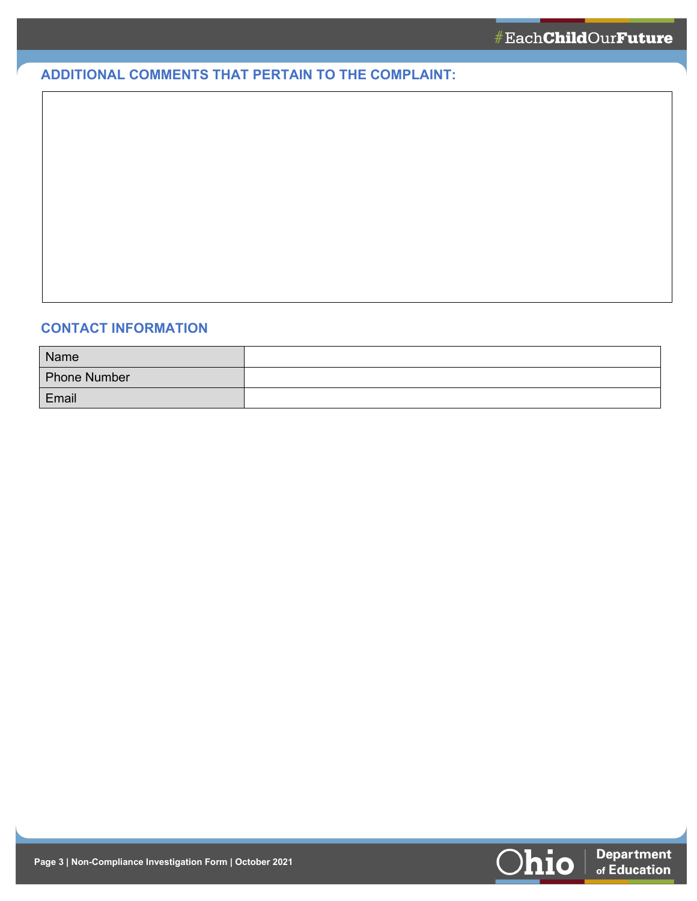## **ADDITIONAL COMMENTS THAT PERTAIN TO THE COMPLAINT:**

### **CONTACT INFORMATION**

| Name                |  |
|---------------------|--|
| <b>Phone Number</b> |  |
| Email               |  |